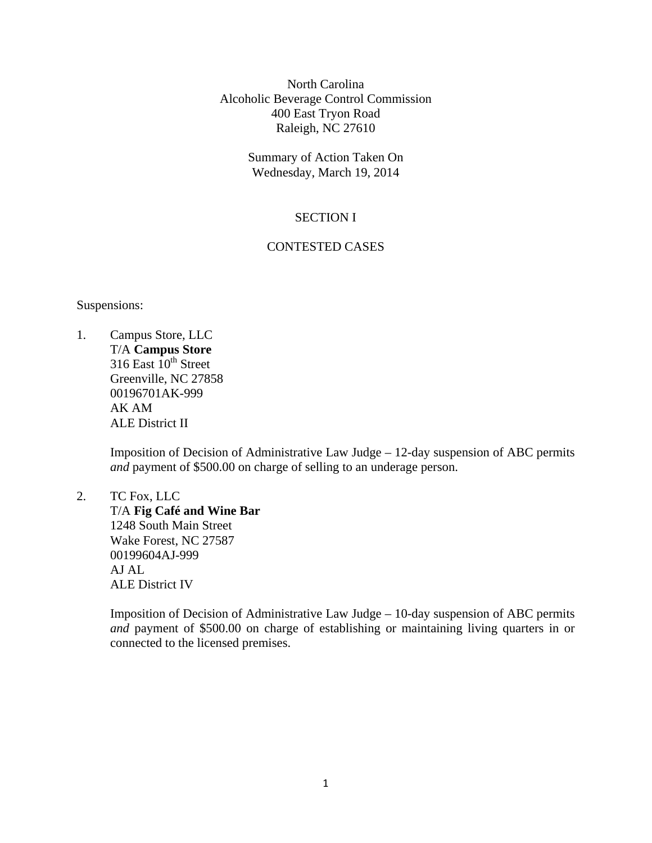North Carolina Alcoholic Beverage Control Commission 400 East Tryon Road Raleigh, NC 27610

> Summary of Action Taken On Wednesday, March 19, 2014

# SECTION I

# CONTESTED CASES

Suspensions:

1. Campus Store, LLC T/A **Campus Store**  316 East  $10^{th}$  Street Greenville, NC 27858 00196701AK-999 AK AM ALE District II

> Imposition of Decision of Administrative Law Judge – 12-day suspension of ABC permits *and* payment of \$500.00 on charge of selling to an underage person.

2. TC Fox, LLC T/A **Fig Café and Wine Bar**  1248 South Main Street Wake Forest, NC 27587 00199604AJ-999 AJ AL ALE District IV

> Imposition of Decision of Administrative Law Judge – 10-day suspension of ABC permits *and* payment of \$500.00 on charge of establishing or maintaining living quarters in or connected to the licensed premises.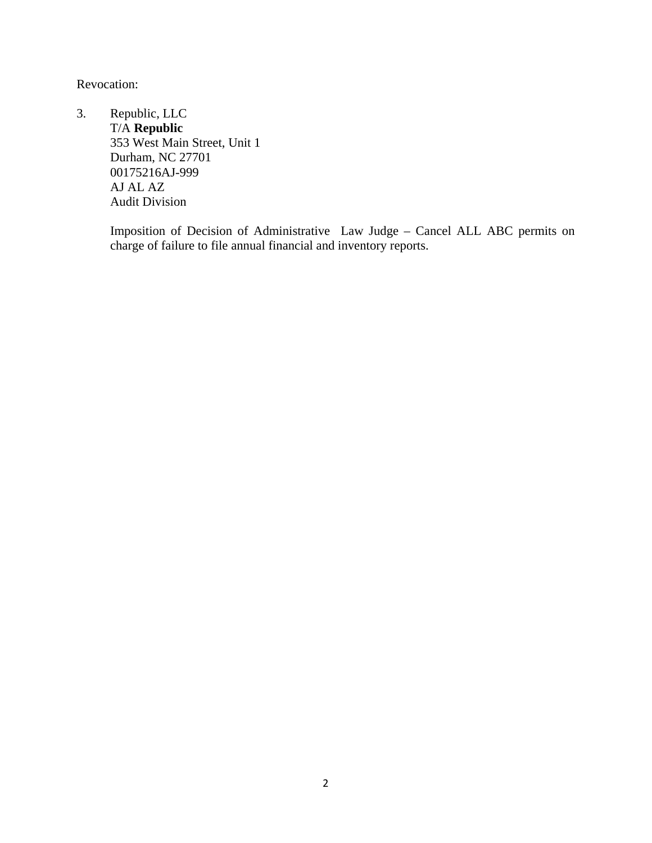Revocation:

3. Republic, LLC T/A **Republic**  353 West Main Street, Unit 1 Durham, NC 27701 00175216AJ-999 AJ AL AZ Audit Division

> Imposition of Decision of Administrative Law Judge – Cancel ALL ABC permits on charge of failure to file annual financial and inventory reports.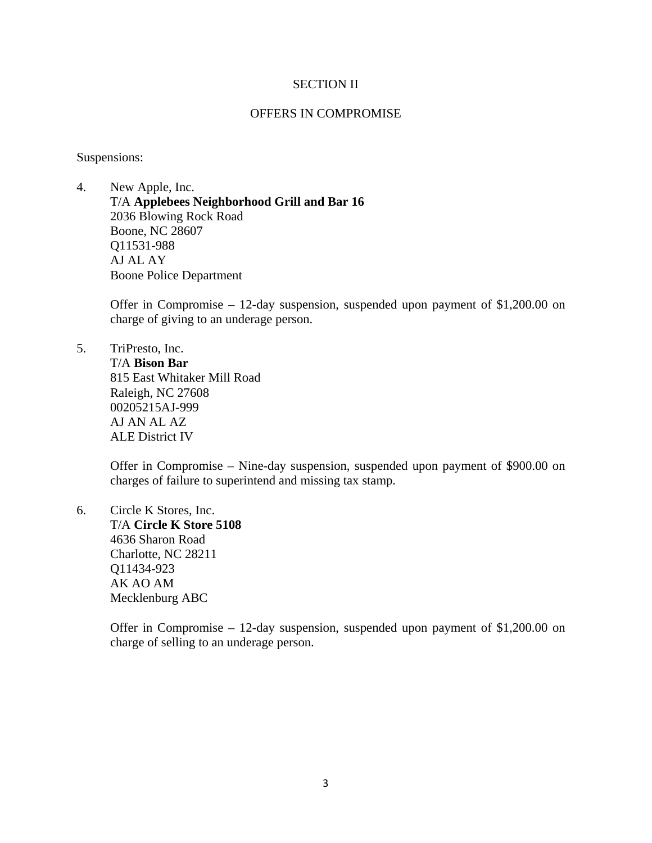## SECTION II

## OFFERS IN COMPROMISE

Suspensions:

4. New Apple, Inc. T/A **Applebees Neighborhood Grill and Bar 16**  2036 Blowing Rock Road Boone, NC 28607 Q11531-988 AJ AL AY Boone Police Department

> Offer in Compromise – 12-day suspension, suspended upon payment of \$1,200.00 on charge of giving to an underage person.

5. TriPresto, Inc. T/A **Bison Bar**  815 East Whitaker Mill Road Raleigh, NC 27608 00205215AJ-999 AJ AN AL AZ ALE District IV

> Offer in Compromise – Nine-day suspension, suspended upon payment of \$900.00 on charges of failure to superintend and missing tax stamp.

6. Circle K Stores, Inc. T/A **Circle K Store 5108**  4636 Sharon Road Charlotte, NC 28211 Q11434-923 AK AO AM Mecklenburg ABC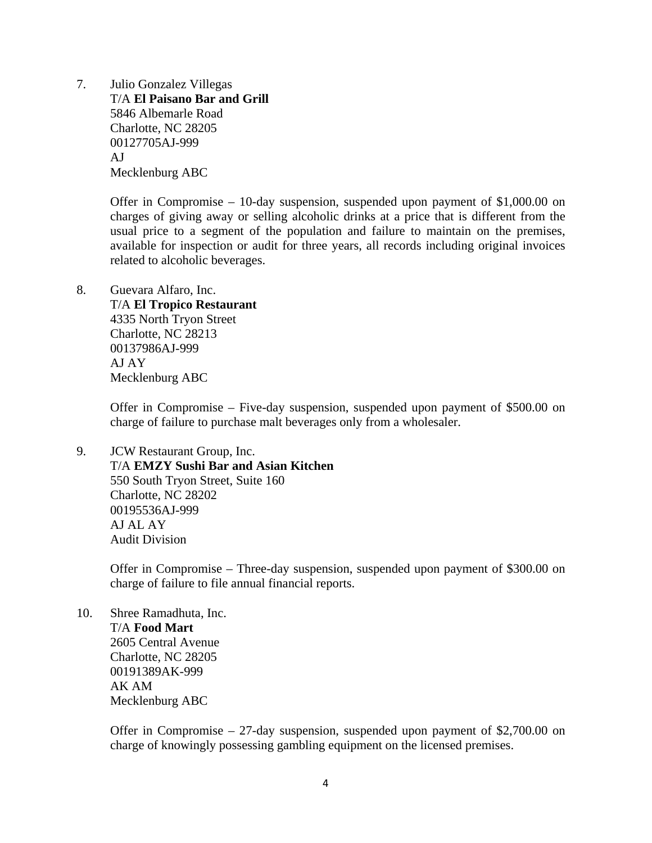7. Julio Gonzalez Villegas T/A **El Paisano Bar and Grill**  5846 Albemarle Road Charlotte, NC 28205 00127705AJ-999 AJ Mecklenburg ABC

> Offer in Compromise – 10-day suspension, suspended upon payment of \$1,000.00 on charges of giving away or selling alcoholic drinks at a price that is different from the usual price to a segment of the population and failure to maintain on the premises, available for inspection or audit for three years, all records including original invoices related to alcoholic beverages.

8. Guevara Alfaro, Inc.

 T/A **El Tropico Restaurant**  4335 North Tryon Street Charlotte, NC 28213 00137986AJ-999 AJ AY Mecklenburg ABC

Offer in Compromise – Five-day suspension, suspended upon payment of \$500.00 on charge of failure to purchase malt beverages only from a wholesaler.

9. JCW Restaurant Group, Inc. T/A **EMZY Sushi Bar and Asian Kitchen**  550 South Tryon Street, Suite 160 Charlotte, NC 28202 00195536AJ-999 AJ AL AY Audit Division

> Offer in Compromise – Three-day suspension, suspended upon payment of \$300.00 on charge of failure to file annual financial reports.

10. Shree Ramadhuta, Inc. T/A **Food Mart**  2605 Central Avenue Charlotte, NC 28205 00191389AK-999 AK AM Mecklenburg ABC

> Offer in Compromise – 27-day suspension, suspended upon payment of \$2,700.00 on charge of knowingly possessing gambling equipment on the licensed premises.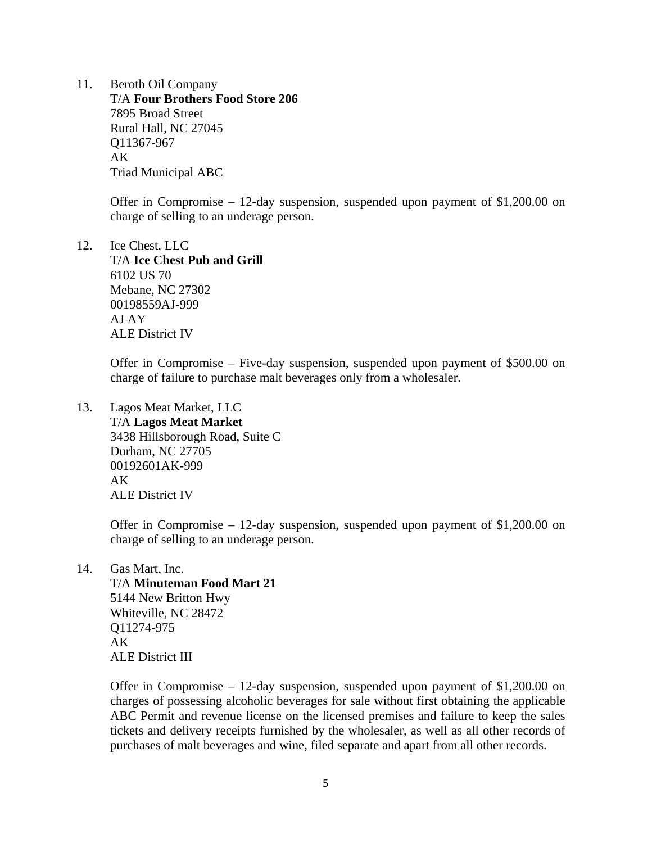11. Beroth Oil Company T/A **Four Brothers Food Store 206**  7895 Broad Street Rural Hall, NC 27045 Q11367-967 AK Triad Municipal ABC

> Offer in Compromise – 12-day suspension, suspended upon payment of \$1,200.00 on charge of selling to an underage person.

12. Ice Chest, LLC T/A **Ice Chest Pub and Grill**  6102 US 70 Mebane, NC 27302 00198559AJ-999 AJ AY ALE District IV

> Offer in Compromise – Five-day suspension, suspended upon payment of \$500.00 on charge of failure to purchase malt beverages only from a wholesaler.

13. Lagos Meat Market, LLC T/A **Lagos Meat Market**  3438 Hillsborough Road, Suite C Durham, NC 27705 00192601AK-999  $AK$ ALE District IV

> Offer in Compromise – 12-day suspension, suspended upon payment of \$1,200.00 on charge of selling to an underage person.

14. Gas Mart, Inc.

 T/A **Minuteman Food Mart 21**  5144 New Britton Hwy Whiteville, NC 28472 Q11274-975 AK ALE District III

Offer in Compromise – 12-day suspension, suspended upon payment of \$1,200.00 on charges of possessing alcoholic beverages for sale without first obtaining the applicable ABC Permit and revenue license on the licensed premises and failure to keep the sales tickets and delivery receipts furnished by the wholesaler, as well as all other records of purchases of malt beverages and wine, filed separate and apart from all other records.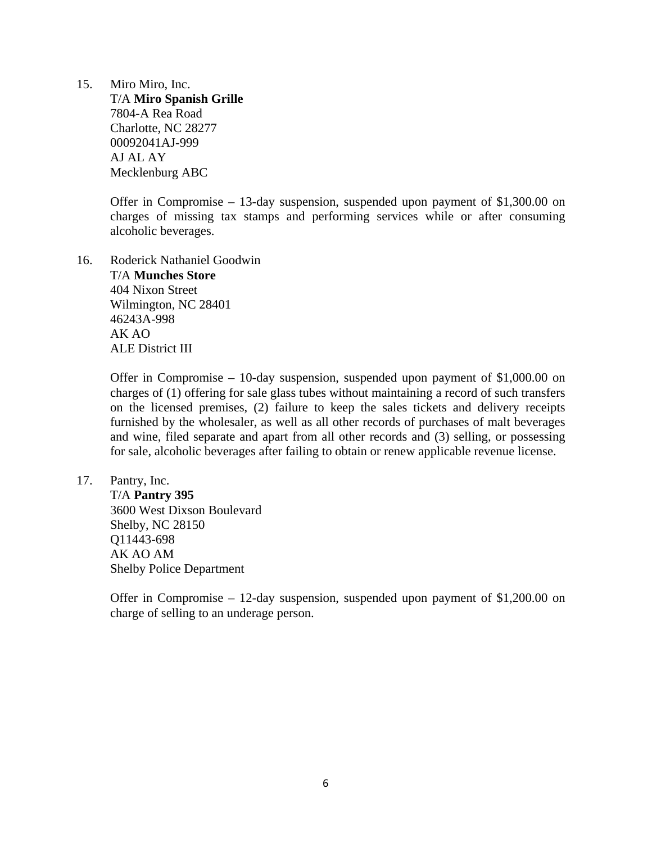15. Miro Miro, Inc. T/A **Miro Spanish Grille**  7804-A Rea Road Charlotte, NC 28277 00092041AJ-999 AJ AL AY Mecklenburg ABC

> Offer in Compromise – 13-day suspension, suspended upon payment of \$1,300.00 on charges of missing tax stamps and performing services while or after consuming alcoholic beverages.

16. Roderick Nathaniel Goodwin T/A **Munches Store**  404 Nixon Street Wilmington, NC 28401 46243A-998 AK AO ALE District III

> Offer in Compromise – 10-day suspension, suspended upon payment of \$1,000.00 on charges of (1) offering for sale glass tubes without maintaining a record of such transfers on the licensed premises, (2) failure to keep the sales tickets and delivery receipts furnished by the wholesaler, as well as all other records of purchases of malt beverages and wine, filed separate and apart from all other records and (3) selling, or possessing for sale, alcoholic beverages after failing to obtain or renew applicable revenue license.

17. Pantry, Inc.

 T/A **Pantry 395**  3600 West Dixson Boulevard Shelby, NC 28150 Q11443-698 AK AO AM Shelby Police Department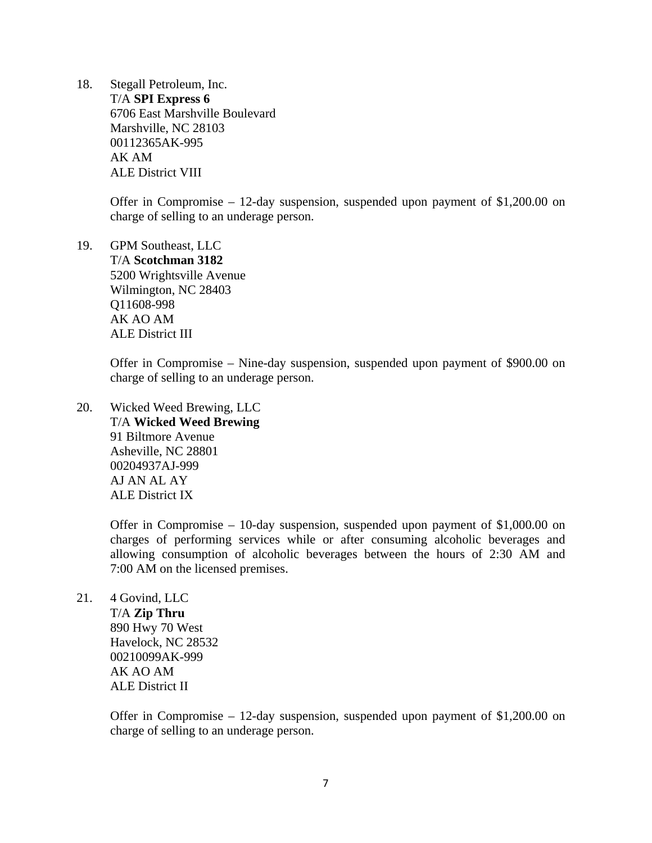18. Stegall Petroleum, Inc. T/A **SPI Express 6**  6706 East Marshville Boulevard Marshville, NC 28103 00112365AK-995 AK AM ALE District VIII

> Offer in Compromise – 12-day suspension, suspended upon payment of \$1,200.00 on charge of selling to an underage person.

19. GPM Southeast, LLC T/A **Scotchman 3182**  5200 Wrightsville Avenue Wilmington, NC 28403 Q11608-998 AK AO AM ALE District III

> Offer in Compromise – Nine-day suspension, suspended upon payment of \$900.00 on charge of selling to an underage person.

20. Wicked Weed Brewing, LLC T/A **Wicked Weed Brewing**  91 Biltmore Avenue Asheville, NC 28801 00204937AJ-999 AJ AN AL AY ALE District IX

> Offer in Compromise – 10-day suspension, suspended upon payment of \$1,000.00 on charges of performing services while or after consuming alcoholic beverages and allowing consumption of alcoholic beverages between the hours of 2:30 AM and 7:00 AM on the licensed premises.

21. 4 Govind, LLC T/A **Zip Thru**  890 Hwy 70 West Havelock, NC 28532 00210099AK-999 AK AO AM ALE District II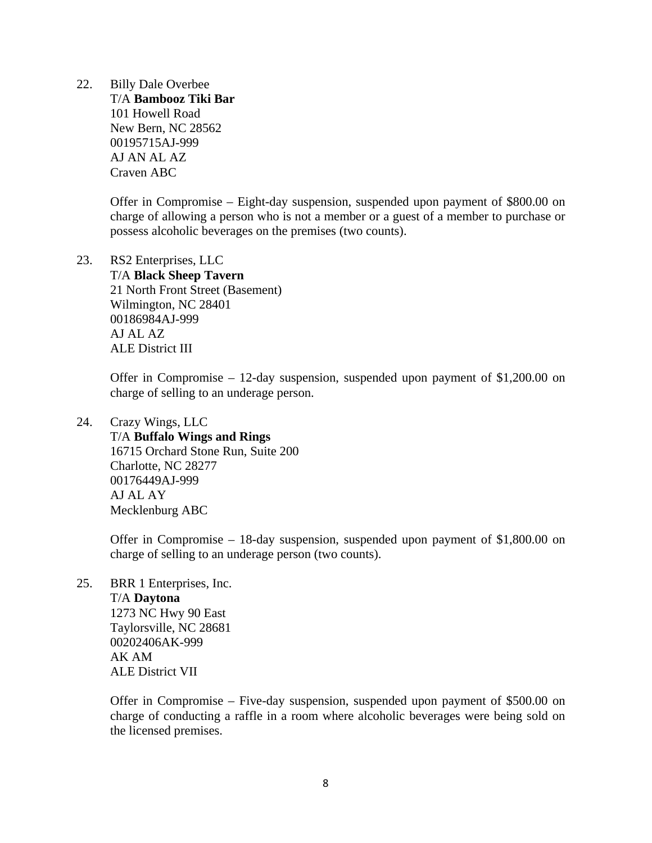22. Billy Dale Overbee T/A **Bambooz Tiki Bar**  101 Howell Road New Bern, NC 28562 00195715AJ-999 AJ AN AL AZ Craven ABC

> Offer in Compromise – Eight-day suspension, suspended upon payment of \$800.00 on charge of allowing a person who is not a member or a guest of a member to purchase or possess alcoholic beverages on the premises (two counts).

23. RS2 Enterprises, LLC T/A **Black Sheep Tavern**  21 North Front Street (Basement) Wilmington, NC 28401 00186984AJ-999 AJ AL AZ ALE District III

> Offer in Compromise – 12-day suspension, suspended upon payment of \$1,200.00 on charge of selling to an underage person.

24. Crazy Wings, LLC T/A **Buffalo Wings and Rings**  16715 Orchard Stone Run, Suite 200 Charlotte, NC 28277 00176449AJ-999 AJ AL AY Mecklenburg ABC

> Offer in Compromise – 18-day suspension, suspended upon payment of \$1,800.00 on charge of selling to an underage person (two counts).

25. BRR 1 Enterprises, Inc. T/A **Daytona**  1273 NC Hwy 90 East Taylorsville, NC 28681 00202406AK-999 AK AM ALE District VII

> Offer in Compromise – Five-day suspension, suspended upon payment of \$500.00 on charge of conducting a raffle in a room where alcoholic beverages were being sold on the licensed premises.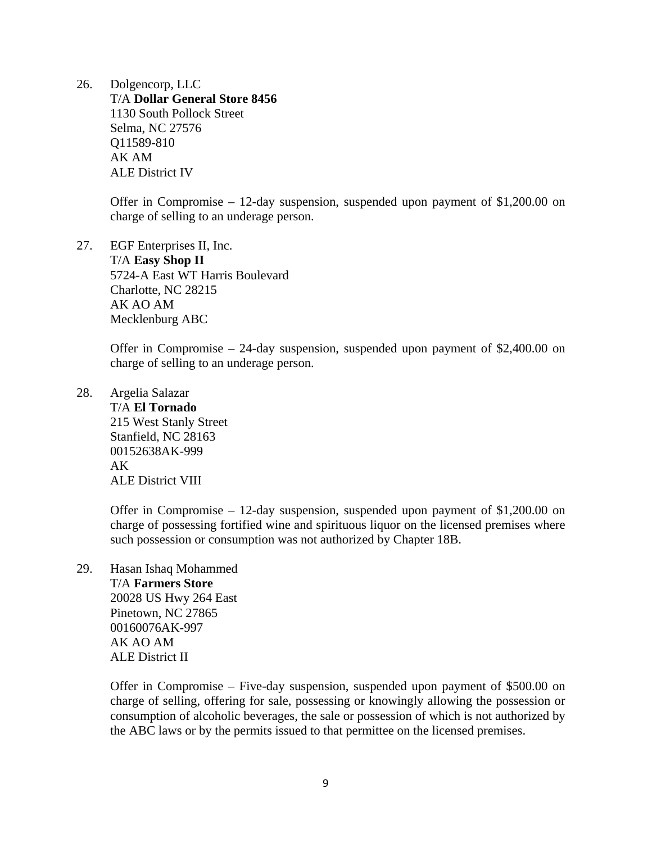26. Dolgencorp, LLC T/A **Dollar General Store 8456**  1130 South Pollock Street Selma, NC 27576 Q11589-810 AK AM ALE District IV

> Offer in Compromise – 12-day suspension, suspended upon payment of \$1,200.00 on charge of selling to an underage person.

27. EGF Enterprises II, Inc. T/A **Easy Shop II**  5724-A East WT Harris Boulevard Charlotte, NC 28215 AK AO AM Mecklenburg ABC

> Offer in Compromise – 24-day suspension, suspended upon payment of \$2,400.00 on charge of selling to an underage person.

28. Argelia Salazar T/A **El Tornado**  215 West Stanly Street Stanfield, NC 28163 00152638AK-999 AK ALE District VIII

> Offer in Compromise – 12-day suspension, suspended upon payment of \$1,200.00 on charge of possessing fortified wine and spirituous liquor on the licensed premises where such possession or consumption was not authorized by Chapter 18B.

29. Hasan Ishaq Mohammed T/A **Farmers Store**  20028 US Hwy 264 East Pinetown, NC 27865 00160076AK-997 AK AO AM ALE District II

> Offer in Compromise – Five-day suspension, suspended upon payment of \$500.00 on charge of selling, offering for sale, possessing or knowingly allowing the possession or consumption of alcoholic beverages, the sale or possession of which is not authorized by the ABC laws or by the permits issued to that permittee on the licensed premises.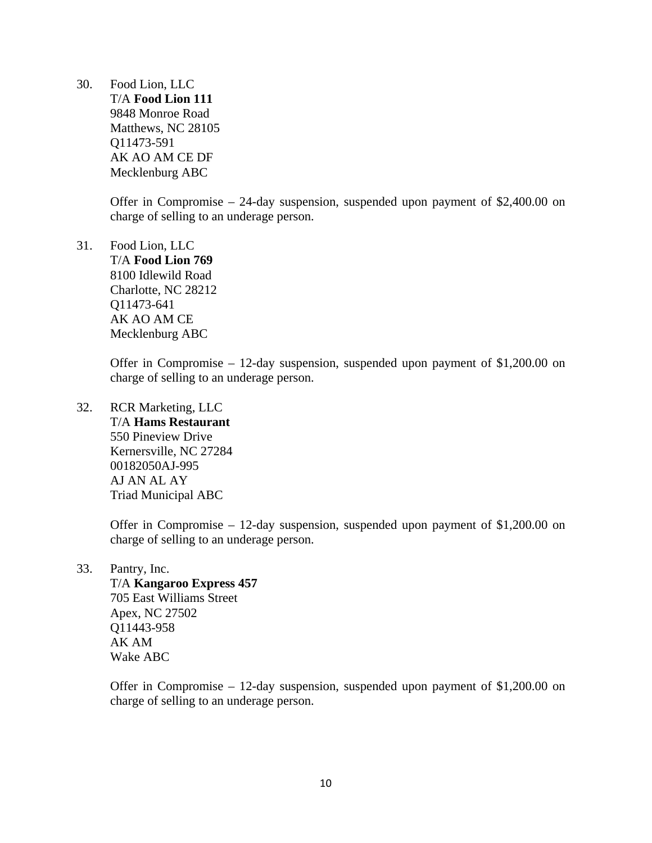30. Food Lion, LLC T/A **Food Lion 111**  9848 Monroe Road Matthews, NC 28105 Q11473-591 AK AO AM CE DF Mecklenburg ABC

> Offer in Compromise – 24-day suspension, suspended upon payment of \$2,400.00 on charge of selling to an underage person.

31. Food Lion, LLC T/A **Food Lion 769** 

8100 Idlewild Road Charlotte, NC 28212 Q11473-641 AK AO AM CE Mecklenburg ABC

Offer in Compromise – 12-day suspension, suspended upon payment of \$1,200.00 on charge of selling to an underage person.

32. RCR Marketing, LLC T/A **Hams Restaurant**  550 Pineview Drive Kernersville, NC 27284 00182050AJ-995 AJ AN AL AY Triad Municipal ABC

> Offer in Compromise – 12-day suspension, suspended upon payment of \$1,200.00 on charge of selling to an underage person.

33. Pantry, Inc.

 T/A **Kangaroo Express 457**  705 East Williams Street Apex, NC 27502 Q11443-958 AK AM Wake ABC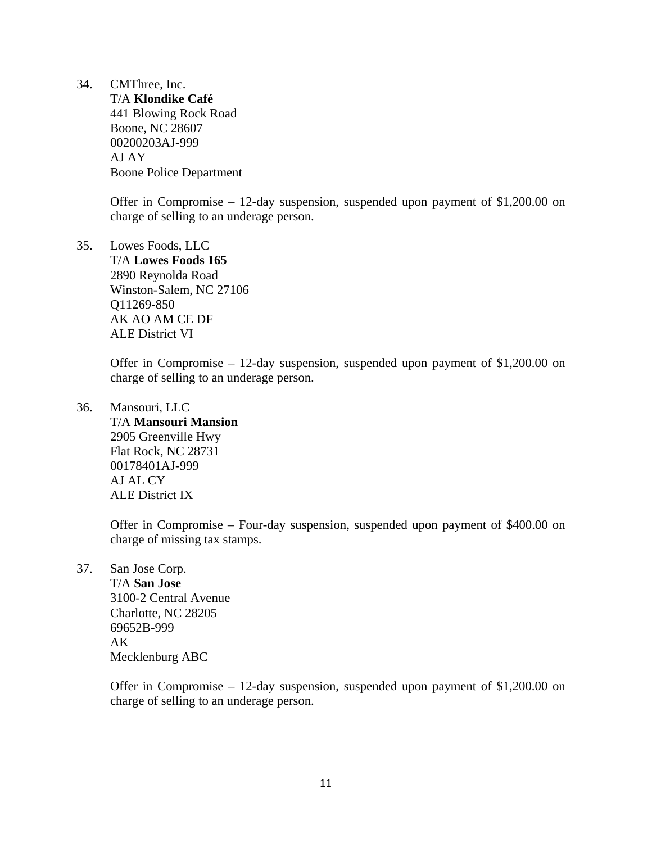34. CMThree, Inc.

 T/A **Klondike Café**  441 Blowing Rock Road Boone, NC 28607 00200203AJ-999 AJ AY Boone Police Department

Offer in Compromise – 12-day suspension, suspended upon payment of \$1,200.00 on charge of selling to an underage person.

35. Lowes Foods, LLC T/A **Lowes Foods 165**  2890 Reynolda Road Winston-Salem, NC 27106 Q11269-850 AK AO AM CE DF ALE District VI

> Offer in Compromise – 12-day suspension, suspended upon payment of \$1,200.00 on charge of selling to an underage person.

36. Mansouri, LLC T/A **Mansouri Mansion**  2905 Greenville Hwy Flat Rock, NC 28731 00178401AJ-999 AJ AL CY ALE District IX

> Offer in Compromise – Four-day suspension, suspended upon payment of \$400.00 on charge of missing tax stamps.

37. San Jose Corp.

 T/A **San Jose**  3100-2 Central Avenue Charlotte, NC 28205 69652B-999 AK Mecklenburg ABC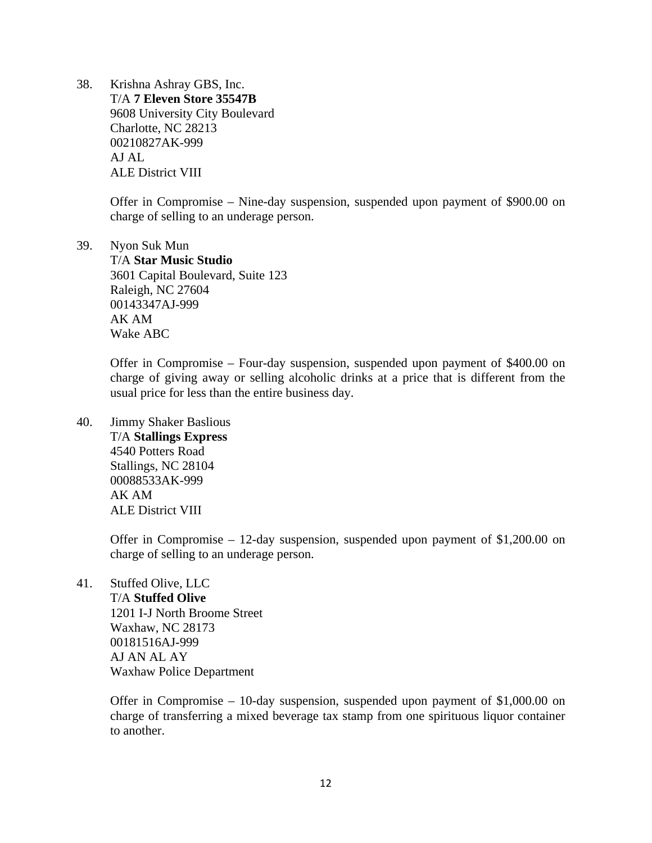38. Krishna Ashray GBS, Inc. T/A **7 Eleven Store 35547B**  9608 University City Boulevard Charlotte, NC 28213 00210827AK-999 AJ AL ALE District VIII

> Offer in Compromise – Nine-day suspension, suspended upon payment of \$900.00 on charge of selling to an underage person.

39. Nyon Suk Mun T/A **Star Music Studio**  3601 Capital Boulevard, Suite 123 Raleigh, NC 27604 00143347AJ-999 AK AM Wake ABC

> Offer in Compromise – Four-day suspension, suspended upon payment of \$400.00 on charge of giving away or selling alcoholic drinks at a price that is different from the usual price for less than the entire business day.

40. Jimmy Shaker Baslious T/A **Stallings Express**  4540 Potters Road Stallings, NC 28104 00088533AK-999 AK AM ALE District VIII

> Offer in Compromise  $-12$ -day suspension, suspended upon payment of \$1,200.00 on charge of selling to an underage person.

41. Stuffed Olive, LLC

 T/A **Stuffed Olive**  1201 I-J North Broome Street Waxhaw, NC 28173 00181516AJ-999 AJ AN AL AY Waxhaw Police Department

Offer in Compromise – 10-day suspension, suspended upon payment of \$1,000.00 on charge of transferring a mixed beverage tax stamp from one spirituous liquor container to another.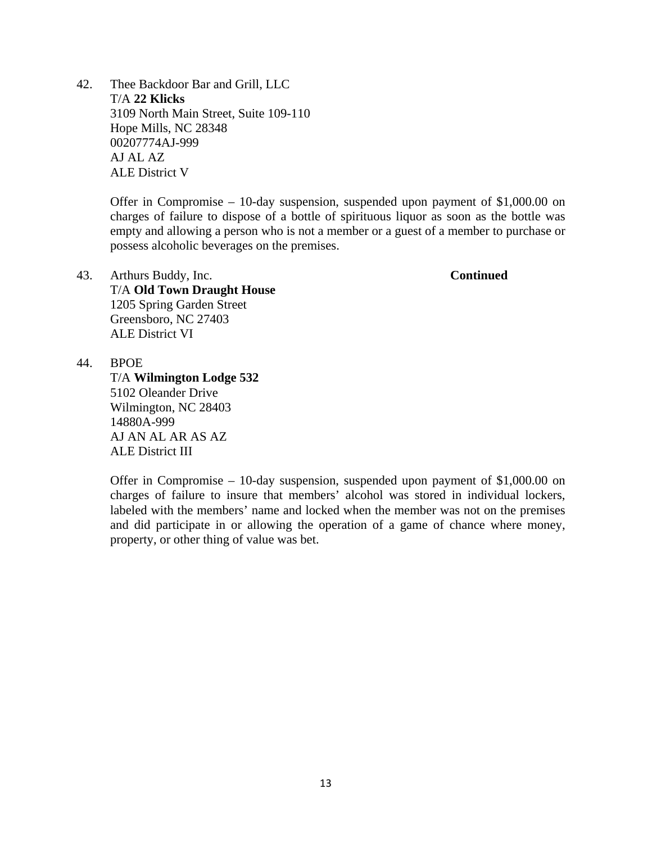42. Thee Backdoor Bar and Grill, LLC T/A **22 Klicks**  3109 North Main Street, Suite 109-110 Hope Mills, NC 28348 00207774AJ-999 AJ AL AZ ALE District V

> Offer in Compromise – 10-day suspension, suspended upon payment of \$1,000.00 on charges of failure to dispose of a bottle of spirituous liquor as soon as the bottle was empty and allowing a person who is not a member or a guest of a member to purchase or possess alcoholic beverages on the premises.

- 43. Arthurs Buddy, Inc. **Continued** T/A **Old Town Draught House**  1205 Spring Garden Street Greensboro, NC 27403 ALE District VI
- 44. BPOE

 T/A **Wilmington Lodge 532**  5102 Oleander Drive Wilmington, NC 28403 14880A-999 AJ AN AL AR AS AZ ALE District III

Offer in Compromise – 10-day suspension, suspended upon payment of \$1,000.00 on charges of failure to insure that members' alcohol was stored in individual lockers, labeled with the members' name and locked when the member was not on the premises and did participate in or allowing the operation of a game of chance where money, property, or other thing of value was bet.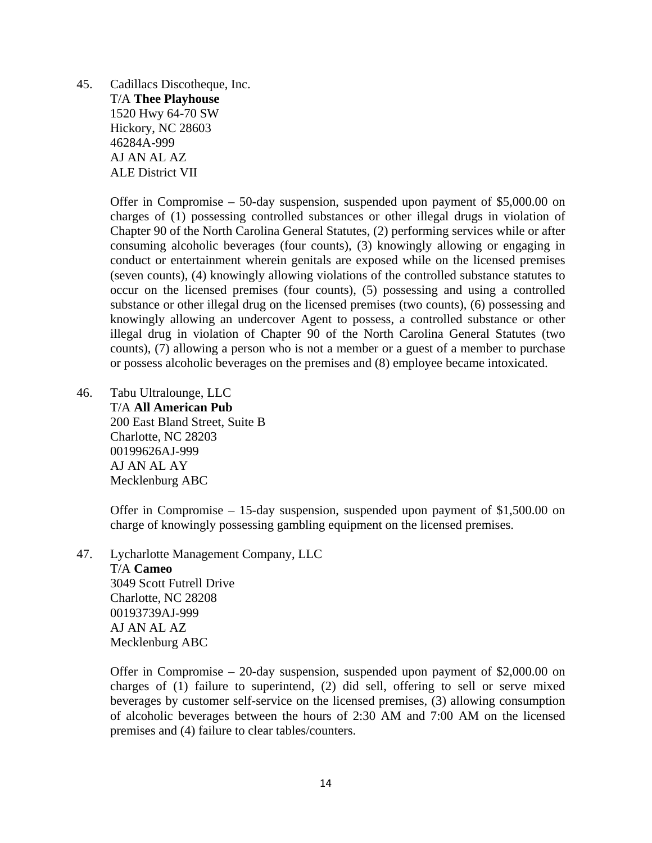45. Cadillacs Discotheque, Inc. T/A **Thee Playhouse**  1520 Hwy 64-70 SW Hickory, NC 28603 46284A-999 AJ AN AL AZ ALE District VII

> Offer in Compromise – 50-day suspension, suspended upon payment of \$5,000.00 on charges of (1) possessing controlled substances or other illegal drugs in violation of Chapter 90 of the North Carolina General Statutes, (2) performing services while or after consuming alcoholic beverages (four counts), (3) knowingly allowing or engaging in conduct or entertainment wherein genitals are exposed while on the licensed premises (seven counts), (4) knowingly allowing violations of the controlled substance statutes to occur on the licensed premises (four counts), (5) possessing and using a controlled substance or other illegal drug on the licensed premises (two counts), (6) possessing and knowingly allowing an undercover Agent to possess, a controlled substance or other illegal drug in violation of Chapter 90 of the North Carolina General Statutes (two counts), (7) allowing a person who is not a member or a guest of a member to purchase or possess alcoholic beverages on the premises and (8) employee became intoxicated.

46. Tabu Ultralounge, LLC T/A **All American Pub**  200 East Bland Street, Suite B Charlotte, NC 28203 00199626AJ-999 AJ AN AL AY Mecklenburg ABC

> Offer in Compromise – 15-day suspension, suspended upon payment of \$1,500.00 on charge of knowingly possessing gambling equipment on the licensed premises.

47. Lycharlotte Management Company, LLC

 T/A **Cameo**  3049 Scott Futrell Drive Charlotte, NC 28208 00193739AJ-999 AJ AN AL AZ Mecklenburg ABC

Offer in Compromise – 20-day suspension, suspended upon payment of \$2,000.00 on charges of (1) failure to superintend, (2) did sell, offering to sell or serve mixed beverages by customer self-service on the licensed premises, (3) allowing consumption of alcoholic beverages between the hours of 2:30 AM and 7:00 AM on the licensed premises and (4) failure to clear tables/counters.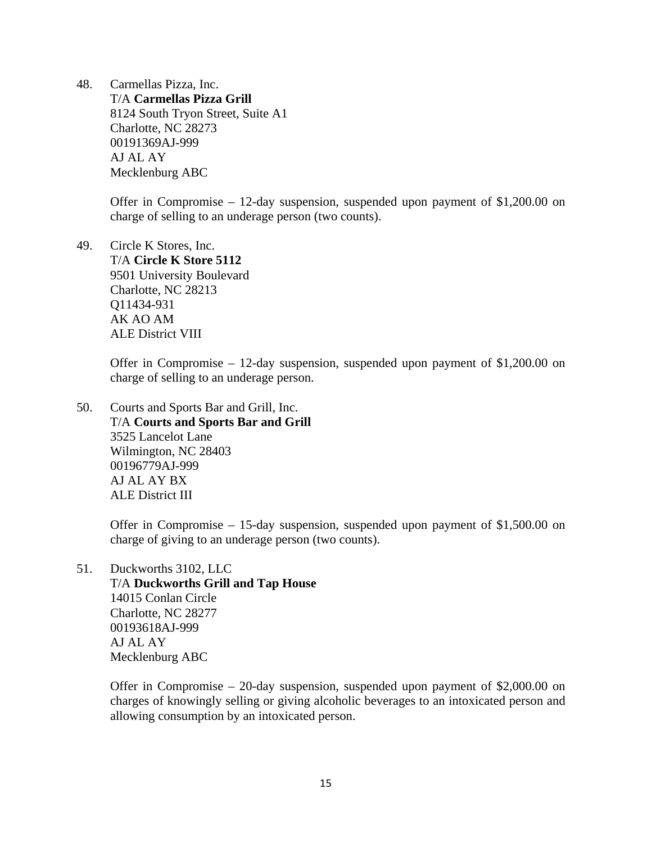48. Carmellas Pizza, Inc. T/A **Carmellas Pizza Grill**  8124 South Tryon Street, Suite A1 Charlotte, NC 28273 00191369AJ-999 AJ AL AY Mecklenburg ABC

> Offer in Compromise – 12-day suspension, suspended upon payment of \$1,200.00 on charge of selling to an underage person (two counts).

49. Circle K Stores, Inc. T/A **Circle K Store 5112**  9501 University Boulevard Charlotte, NC 28213 Q11434-931 AK AO AM ALE District VIII

> Offer in Compromise – 12-day suspension, suspended upon payment of \$1,200.00 on charge of selling to an underage person.

50. Courts and Sports Bar and Grill, Inc. T/A **Courts and Sports Bar and Grill**  3525 Lancelot Lane Wilmington, NC 28403 00196779AJ-999 AJ AL AY BX ALE District III

> Offer in Compromise – 15-day suspension, suspended upon payment of \$1,500.00 on charge of giving to an underage person (two counts).

51. Duckworths 3102, LLC T/A **Duckworths Grill and Tap House**  14015 Conlan Circle Charlotte, NC 28277 00193618AJ-999 AJ AL AY Mecklenburg ABC

> Offer in Compromise – 20-day suspension, suspended upon payment of \$2,000.00 on charges of knowingly selling or giving alcoholic beverages to an intoxicated person and allowing consumption by an intoxicated person.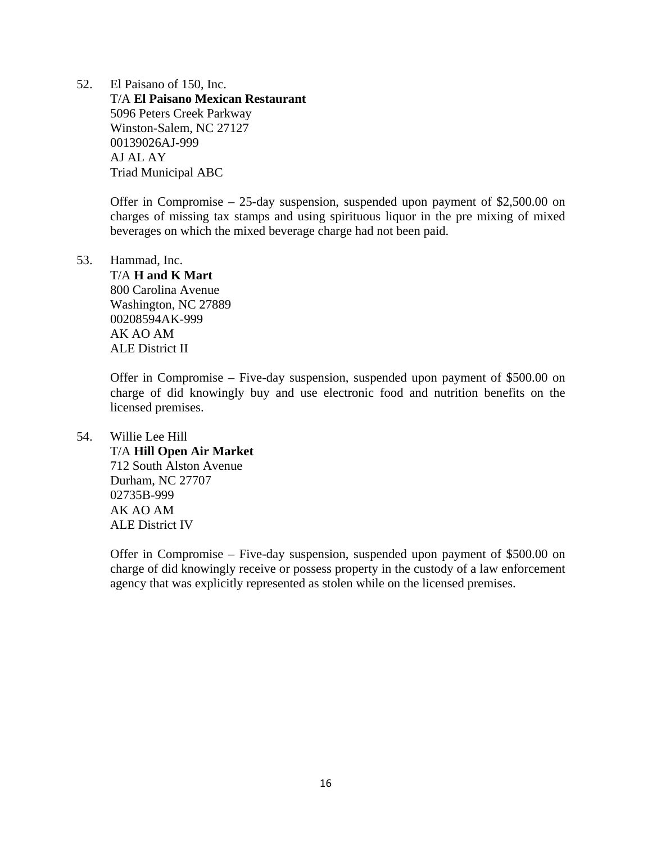52. El Paisano of 150, Inc. T/A **El Paisano Mexican Restaurant**  5096 Peters Creek Parkway Winston-Salem, NC 27127 00139026AJ-999 AJ AL AY Triad Municipal ABC

> Offer in Compromise – 25-day suspension, suspended upon payment of \$2,500.00 on charges of missing tax stamps and using spirituous liquor in the pre mixing of mixed beverages on which the mixed beverage charge had not been paid.

### 53. Hammad, Inc.

 T/A **H and K Mart**  800 Carolina Avenue Washington, NC 27889 00208594AK-999 AK AO AM ALE District II

Offer in Compromise – Five-day suspension, suspended upon payment of \$500.00 on charge of did knowingly buy and use electronic food and nutrition benefits on the licensed premises.

# 54. Willie Lee Hill T/A **Hill Open Air Market**  712 South Alston Avenue Durham, NC 27707 02735B-999 AK AO AM ALE District IV

Offer in Compromise – Five-day suspension, suspended upon payment of \$500.00 on charge of did knowingly receive or possess property in the custody of a law enforcement agency that was explicitly represented as stolen while on the licensed premises.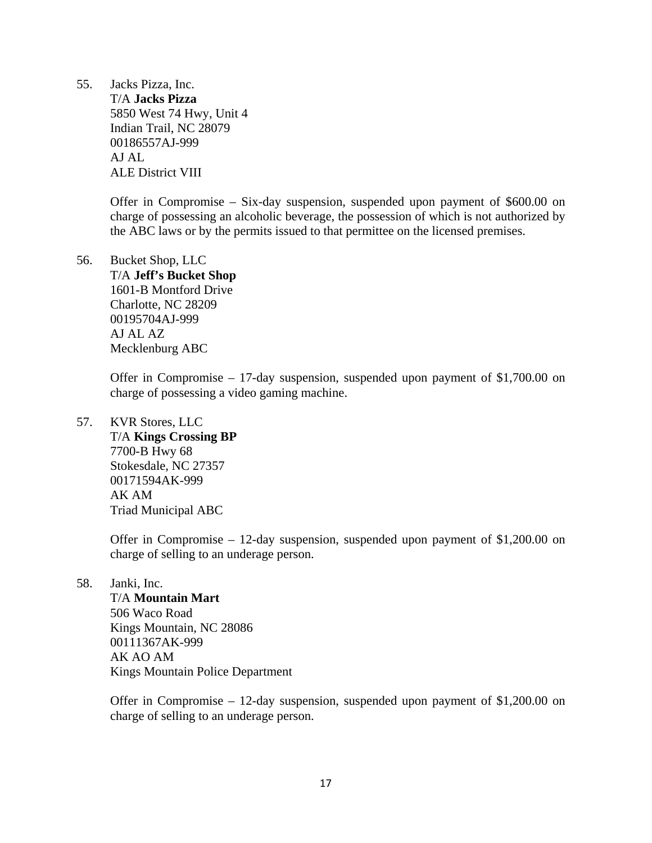55. Jacks Pizza, Inc.

 T/A **Jacks Pizza**  5850 West 74 Hwy, Unit 4 Indian Trail, NC 28079 00186557AJ-999 AJ AL ALE District VIII

Offer in Compromise – Six-day suspension, suspended upon payment of \$600.00 on charge of possessing an alcoholic beverage, the possession of which is not authorized by the ABC laws or by the permits issued to that permittee on the licensed premises.

56. Bucket Shop, LLC T/A **Jeff's Bucket Shop**  1601-B Montford Drive Charlotte, NC 28209 00195704AJ-999 AJ AL AZ Mecklenburg ABC

> Offer in Compromise – 17-day suspension, suspended upon payment of \$1,700.00 on charge of possessing a video gaming machine.

57. KVR Stores, LLC T/A **Kings Crossing BP**  7700-B Hwy 68 Stokesdale, NC 27357 00171594AK-999 AK AM Triad Municipal ABC

> Offer in Compromise – 12-day suspension, suspended upon payment of \$1,200.00 on charge of selling to an underage person.

58. Janki, Inc.

 T/A **Mountain Mart**  506 Waco Road Kings Mountain, NC 28086 00111367AK-999 AK AO AM Kings Mountain Police Department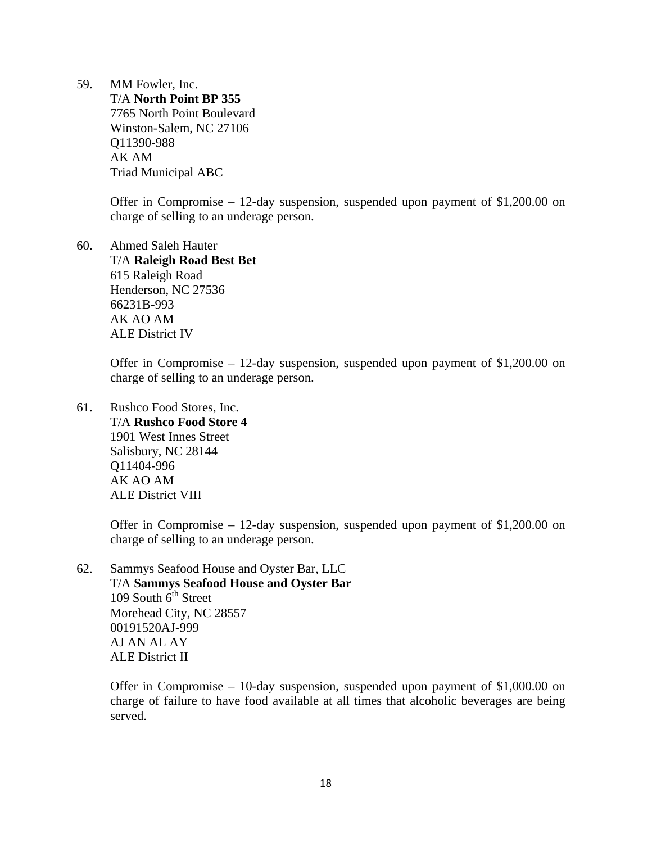59. MM Fowler, Inc. T/A **North Point BP 355**  7765 North Point Boulevard Winston-Salem, NC 27106 Q11390-988 AK AM Triad Municipal ABC

> Offer in Compromise – 12-day suspension, suspended upon payment of \$1,200.00 on charge of selling to an underage person.

60. Ahmed Saleh Hauter T/A **Raleigh Road Best Bet**  615 Raleigh Road Henderson, NC 27536 66231B-993 AK AO AM ALE District IV

> Offer in Compromise – 12-day suspension, suspended upon payment of \$1,200.00 on charge of selling to an underage person.

61. Rushco Food Stores, Inc. T/A **Rushco Food Store 4**  1901 West Innes Street Salisbury, NC 28144 Q11404-996 AK AO AM ALE District VIII

> Offer in Compromise – 12-day suspension, suspended upon payment of \$1,200.00 on charge of selling to an underage person.

62. Sammys Seafood House and Oyster Bar, LLC T/A **Sammys Seafood House and Oyster Bar**  109 South  $6<sup>th</sup>$  Street Morehead City, NC 28557 00191520AJ-999 AJ AN AL AY ALE District II

> Offer in Compromise – 10-day suspension, suspended upon payment of \$1,000.00 on charge of failure to have food available at all times that alcoholic beverages are being served.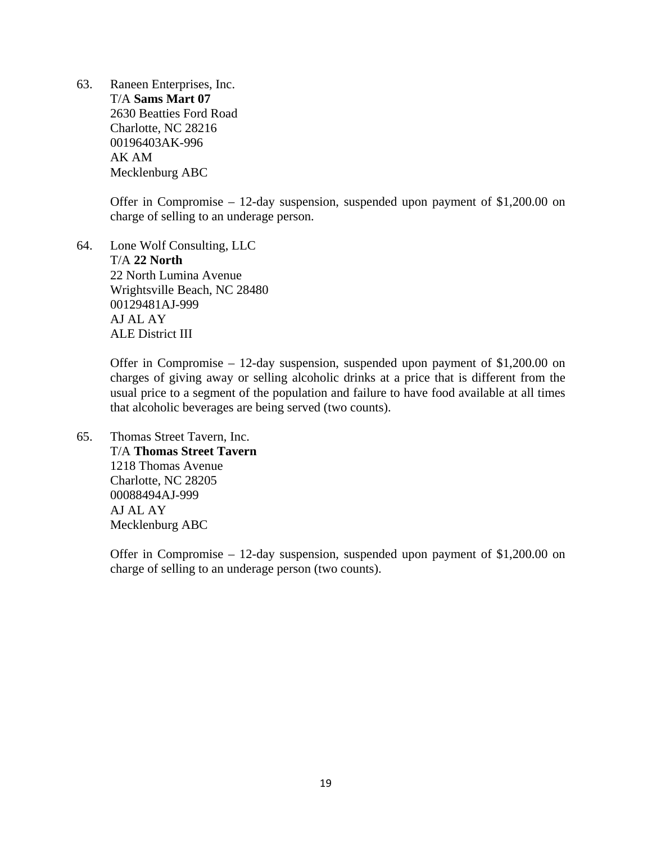63. Raneen Enterprises, Inc. T/A **Sams Mart 07**  2630 Beatties Ford Road Charlotte, NC 28216 00196403AK-996 AK AM Mecklenburg ABC

> Offer in Compromise – 12-day suspension, suspended upon payment of \$1,200.00 on charge of selling to an underage person.

64. Lone Wolf Consulting, LLC T/A **22 North**  22 North Lumina Avenue Wrightsville Beach, NC 28480 00129481AJ-999 AJ AL AY ALE District III

> Offer in Compromise – 12-day suspension, suspended upon payment of \$1,200.00 on charges of giving away or selling alcoholic drinks at a price that is different from the usual price to a segment of the population and failure to have food available at all times that alcoholic beverages are being served (two counts).

65. Thomas Street Tavern, Inc. T/A **Thomas Street Tavern**  1218 Thomas Avenue Charlotte, NC 28205 00088494AJ-999 AJ AL AY Mecklenburg ABC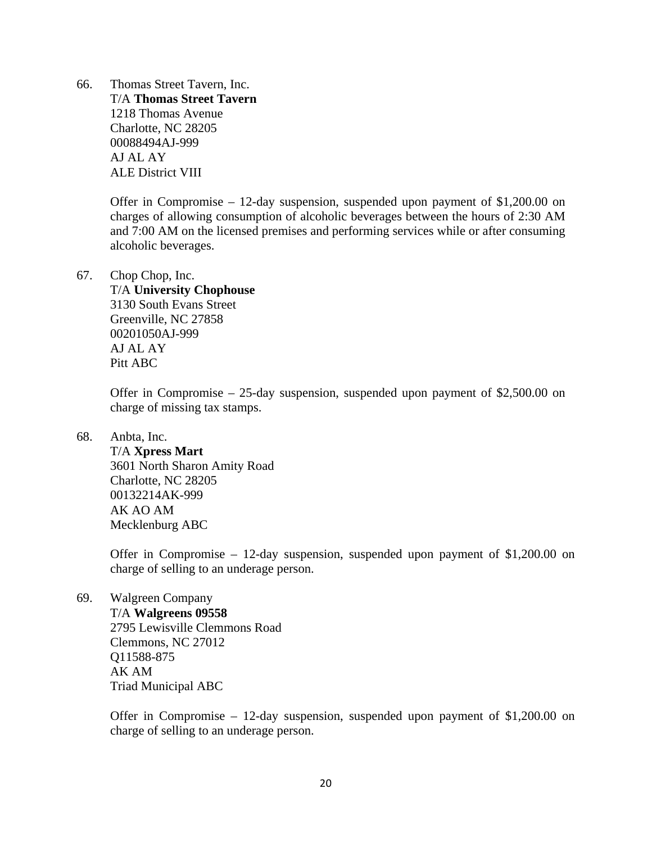66. Thomas Street Tavern, Inc. T/A **Thomas Street Tavern**  1218 Thomas Avenue Charlotte, NC 28205 00088494AJ-999 AJ AL AY ALE District VIII

> Offer in Compromise – 12-day suspension, suspended upon payment of \$1,200.00 on charges of allowing consumption of alcoholic beverages between the hours of 2:30 AM and 7:00 AM on the licensed premises and performing services while or after consuming alcoholic beverages.

## 67. Chop Chop, Inc.

### T/A **University Chophouse**

3130 South Evans Street Greenville, NC 27858 00201050AJ-999 AJ AL AY Pitt ABC

Offer in Compromise – 25-day suspension, suspended upon payment of \$2,500.00 on charge of missing tax stamps.

68. Anbta, Inc.

 T/A **Xpress Mart**  3601 North Sharon Amity Road Charlotte, NC 28205 00132214AK-999 AK AO AM Mecklenburg ABC

Offer in Compromise – 12-day suspension, suspended upon payment of \$1,200.00 on charge of selling to an underage person.

69. Walgreen Company T/A **Walgreens 09558**  2795 Lewisville Clemmons Road Clemmons, NC 27012 Q11588-875 AK AM Triad Municipal ABC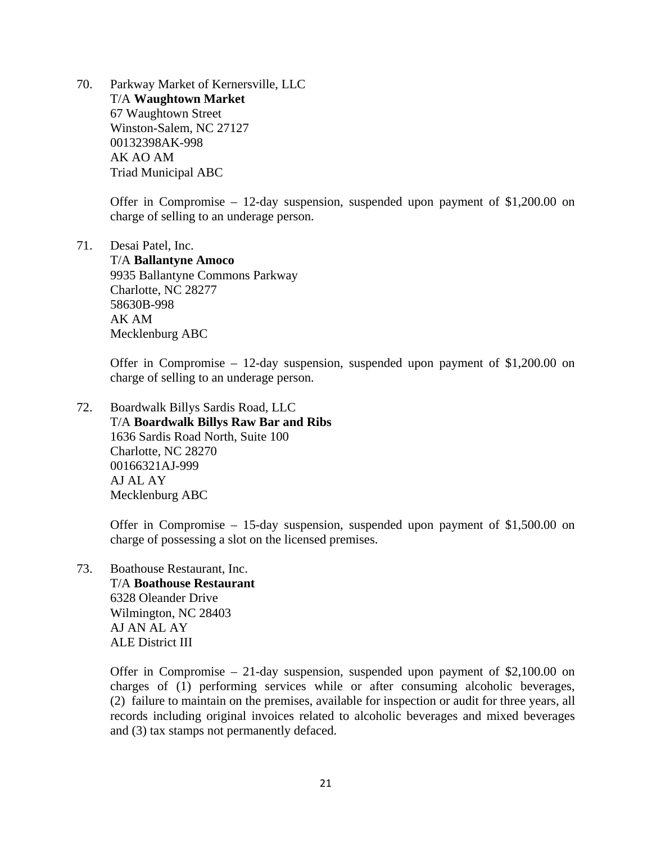70. Parkway Market of Kernersville, LLC T/A **Waughtown Market**  67 Waughtown Street Winston-Salem, NC 27127 00132398AK-998 AK AO AM Triad Municipal ABC

> Offer in Compromise – 12-day suspension, suspended upon payment of \$1,200.00 on charge of selling to an underage person.

71. Desai Patel, Inc.

 T/A **Ballantyne Amoco**  9935 Ballantyne Commons Parkway Charlotte, NC 28277 58630B-998 AK AM Mecklenburg ABC

Offer in Compromise – 12-day suspension, suspended upon payment of \$1,200.00 on charge of selling to an underage person.

72. Boardwalk Billys Sardis Road, LLC T/A **Boardwalk Billys Raw Bar and Ribs**  1636 Sardis Road North, Suite 100 Charlotte, NC 28270 00166321AJ-999 AJ AL AY Mecklenburg ABC

> Offer in Compromise – 15-day suspension, suspended upon payment of \$1,500.00 on charge of possessing a slot on the licensed premises.

73. Boathouse Restaurant, Inc. T/A **Boathouse Restaurant**  6328 Oleander Drive Wilmington, NC 28403 AJ AN AL AY ALE District III

> Offer in Compromise – 21-day suspension, suspended upon payment of \$2,100.00 on charges of (1) performing services while or after consuming alcoholic beverages, (2) failure to maintain on the premises, available for inspection or audit for three years, all records including original invoices related to alcoholic beverages and mixed beverages and (3) tax stamps not permanently defaced.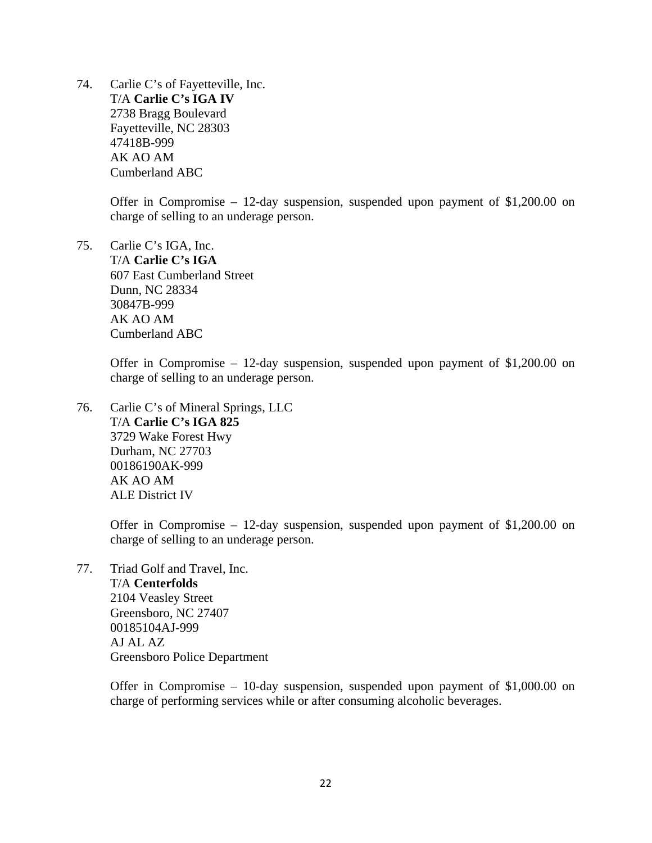74. Carlie C's of Fayetteville, Inc. T/A **Carlie C's IGA IV**  2738 Bragg Boulevard Fayetteville, NC 28303 47418B-999 AK AO AM Cumberland ABC

> Offer in Compromise – 12-day suspension, suspended upon payment of \$1,200.00 on charge of selling to an underage person.

75. Carlie C's IGA, Inc. T/A **Carlie C's IGA**  607 East Cumberland Street Dunn, NC 28334 30847B-999 AK AO AM Cumberland ABC

> Offer in Compromise – 12-day suspension, suspended upon payment of \$1,200.00 on charge of selling to an underage person.

76. Carlie C's of Mineral Springs, LLC T/A **Carlie C's IGA 825**  3729 Wake Forest Hwy Durham, NC 27703 00186190AK-999 AK AO AM ALE District IV

> Offer in Compromise – 12-day suspension, suspended upon payment of \$1,200.00 on charge of selling to an underage person.

77. Triad Golf and Travel, Inc. T/A **Centerfolds**  2104 Veasley Street Greensboro, NC 27407 00185104AJ-999 AJ AL AZ Greensboro Police Department

> Offer in Compromise – 10-day suspension, suspended upon payment of \$1,000.00 on charge of performing services while or after consuming alcoholic beverages.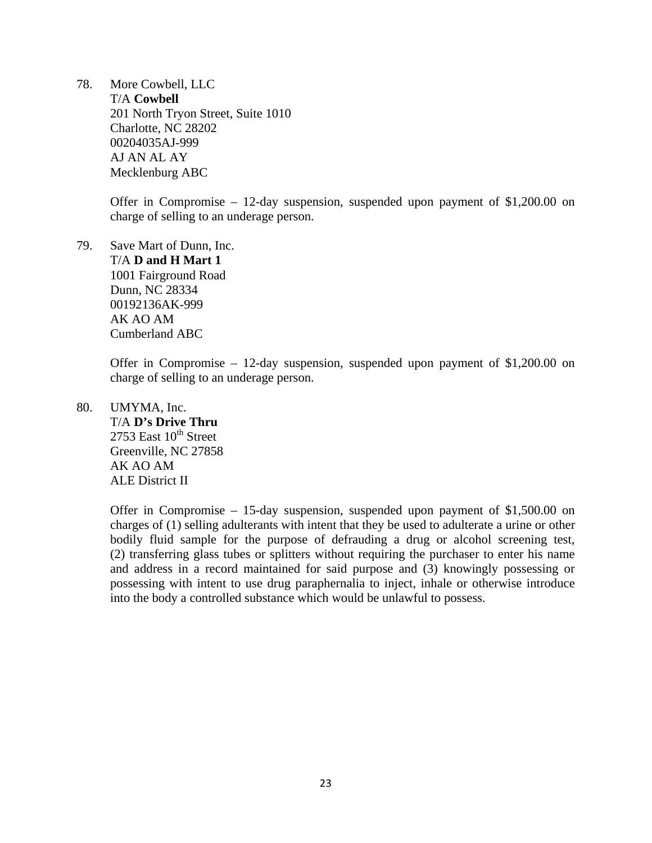78. More Cowbell, LLC T/A **Cowbell**  201 North Tryon Street, Suite 1010 Charlotte, NC 28202 00204035AJ-999 AJ AN AL AY Mecklenburg ABC

> Offer in Compromise – 12-day suspension, suspended upon payment of \$1,200.00 on charge of selling to an underage person.

79. Save Mart of Dunn, Inc. T/A **D and H Mart 1**  1001 Fairground Road Dunn, NC 28334 00192136AK-999 AK AO AM Cumberland ABC

> Offer in Compromise – 12-day suspension, suspended upon payment of \$1,200.00 on charge of selling to an underage person.

80. UMYMA, Inc. T/A **D's Drive Thru**  2753 East  $10^{th}$  Street Greenville, NC 27858 AK AO AM ALE District II

> Offer in Compromise – 15-day suspension, suspended upon payment of \$1,500.00 on charges of (1) selling adulterants with intent that they be used to adulterate a urine or other bodily fluid sample for the purpose of defrauding a drug or alcohol screening test, (2) transferring glass tubes or splitters without requiring the purchaser to enter his name and address in a record maintained for said purpose and (3) knowingly possessing or possessing with intent to use drug paraphernalia to inject, inhale or otherwise introduce into the body a controlled substance which would be unlawful to possess.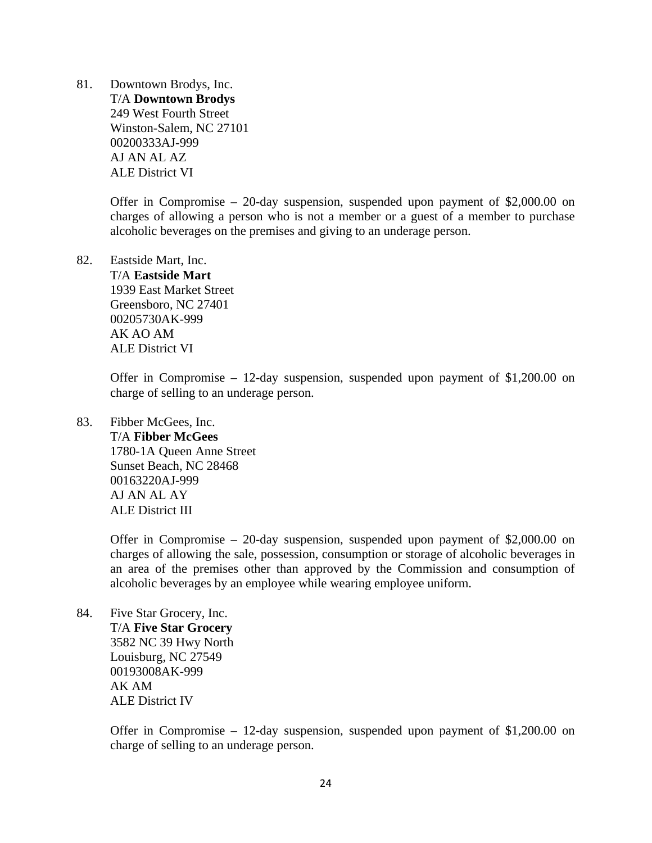81. Downtown Brodys, Inc. T/A **Downtown Brodys**  249 West Fourth Street Winston-Salem, NC 27101 00200333AJ-999 AJ AN AL AZ ALE District VI

> Offer in Compromise – 20-day suspension, suspended upon payment of \$2,000.00 on charges of allowing a person who is not a member or a guest of a member to purchase alcoholic beverages on the premises and giving to an underage person.

82. Eastside Mart, Inc. T/A **Eastside Mart**  1939 East Market Street Greensboro, NC 27401 00205730AK-999 AK AO AM ALE District VI

> Offer in Compromise – 12-day suspension, suspended upon payment of \$1,200.00 on charge of selling to an underage person.

83. Fibber McGees, Inc.

 T/A **Fibber McGees**  1780-1A Queen Anne Street Sunset Beach, NC 28468 00163220AJ-999 AJ AN AL AY ALE District III

Offer in Compromise – 20-day suspension, suspended upon payment of \$2,000.00 on charges of allowing the sale, possession, consumption or storage of alcoholic beverages in an area of the premises other than approved by the Commission and consumption of alcoholic beverages by an employee while wearing employee uniform.

84. Five Star Grocery, Inc. T/A **Five Star Grocery**  3582 NC 39 Hwy North Louisburg, NC 27549 00193008AK-999 AK AM ALE District IV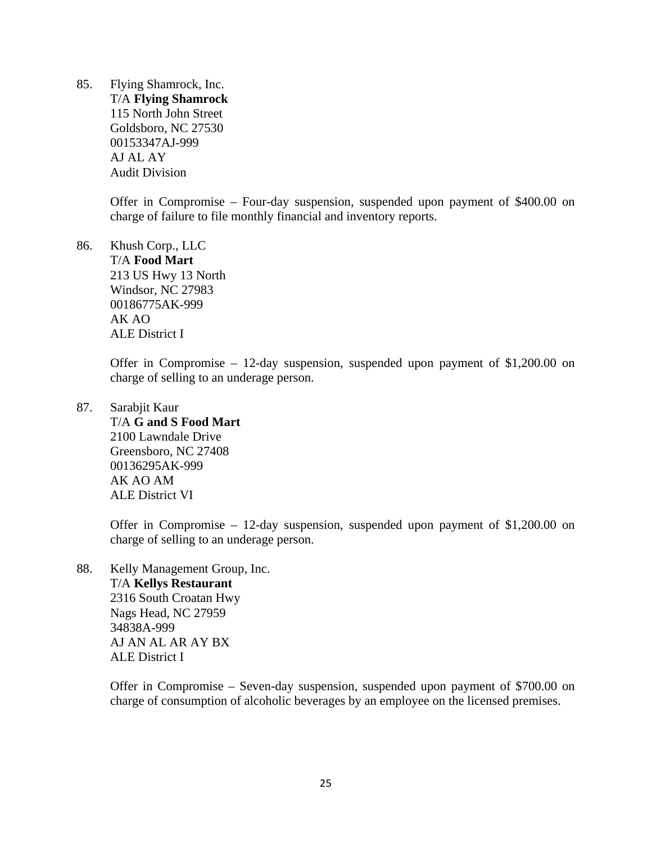85. Flying Shamrock, Inc. T/A **Flying Shamrock**  115 North John Street Goldsboro, NC 27530 00153347AJ-999 AJ AL AY Audit Division

> Offer in Compromise – Four-day suspension, suspended upon payment of \$400.00 on charge of failure to file monthly financial and inventory reports.

86. Khush Corp., LLC T/A **Food Mart**  213 US Hwy 13 North Windsor, NC 27983 00186775AK-999 AK AO ALE District I

> Offer in Compromise – 12-day suspension, suspended upon payment of \$1,200.00 on charge of selling to an underage person.

87. Sarabjit Kaur

 T/A **G and S Food Mart**  2100 Lawndale Drive Greensboro, NC 27408 00136295AK-999 AK AO AM ALE District VI

Offer in Compromise – 12-day suspension, suspended upon payment of \$1,200.00 on charge of selling to an underage person.

88. Kelly Management Group, Inc. T/A **Kellys Restaurant**  2316 South Croatan Hwy Nags Head, NC 27959 34838A-999 AJ AN AL AR AY BX ALE District I

> Offer in Compromise – Seven-day suspension, suspended upon payment of \$700.00 on charge of consumption of alcoholic beverages by an employee on the licensed premises.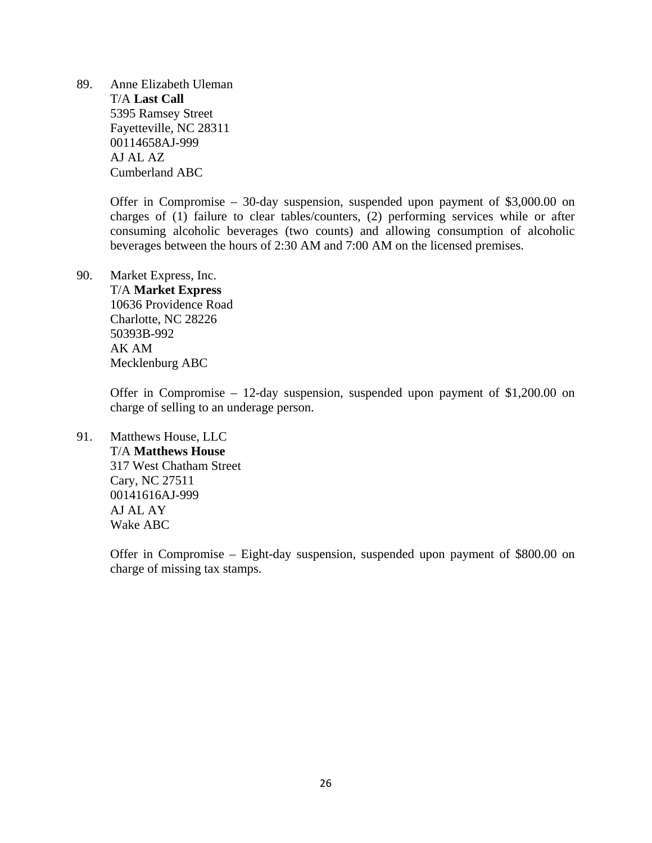89. Anne Elizabeth Uleman T/A **Last Call**  5395 Ramsey Street Fayetteville, NC 28311 00114658AJ-999 AJ AL AZ Cumberland ABC

> Offer in Compromise – 30-day suspension, suspended upon payment of \$3,000.00 on charges of (1) failure to clear tables/counters, (2) performing services while or after consuming alcoholic beverages (two counts) and allowing consumption of alcoholic beverages between the hours of 2:30 AM and 7:00 AM on the licensed premises.

# 90. Market Express, Inc.

 T/A **Market Express**  10636 Providence Road Charlotte, NC 28226 50393B-992 AK AM Mecklenburg ABC

Offer in Compromise – 12-day suspension, suspended upon payment of \$1,200.00 on charge of selling to an underage person.

91. Matthews House, LLC T/A **Matthews House**  317 West Chatham Street Cary, NC 27511 00141616AJ-999 AJ AL AY

Wake ABC

Offer in Compromise – Eight-day suspension, suspended upon payment of \$800.00 on charge of missing tax stamps.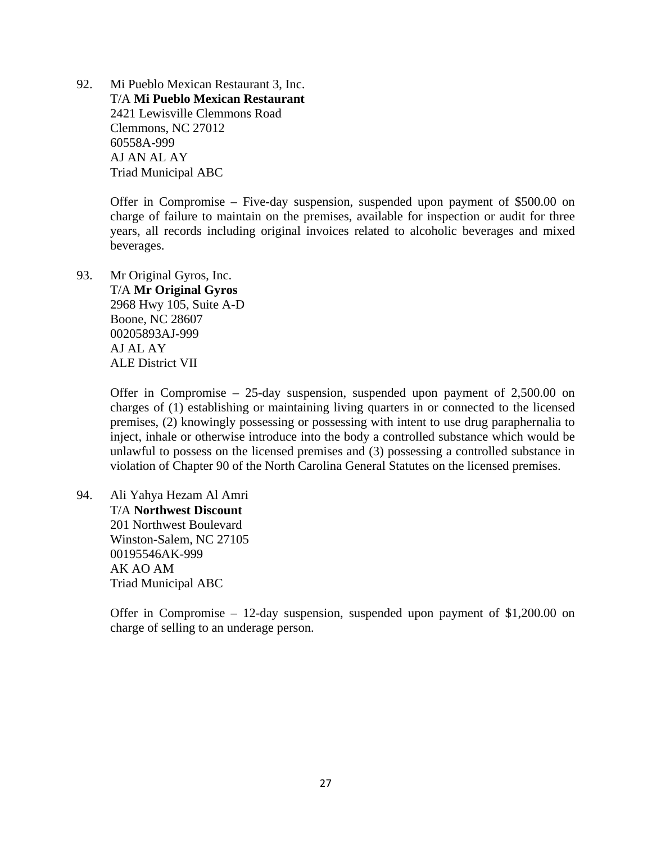92. Mi Pueblo Mexican Restaurant 3, Inc. T/A **Mi Pueblo Mexican Restaurant**  2421 Lewisville Clemmons Road Clemmons, NC 27012 60558A-999 AJ AN AL AY Triad Municipal ABC

> Offer in Compromise – Five-day suspension, suspended upon payment of \$500.00 on charge of failure to maintain on the premises, available for inspection or audit for three years, all records including original invoices related to alcoholic beverages and mixed beverages.

93. Mr Original Gyros, Inc. T/A **Mr Original Gyros**  2968 Hwy 105, Suite A-D Boone, NC 28607 00205893AJ-999 AJ AL AY ALE District VII

> Offer in Compromise – 25-day suspension, suspended upon payment of 2,500.00 on charges of (1) establishing or maintaining living quarters in or connected to the licensed premises, (2) knowingly possessing or possessing with intent to use drug paraphernalia to inject, inhale or otherwise introduce into the body a controlled substance which would be unlawful to possess on the licensed premises and (3) possessing a controlled substance in violation of Chapter 90 of the North Carolina General Statutes on the licensed premises.

94. Ali Yahya Hezam Al Amri T/A **Northwest Discount**  201 Northwest Boulevard Winston-Salem, NC 27105 00195546AK-999 AK AO AM Triad Municipal ABC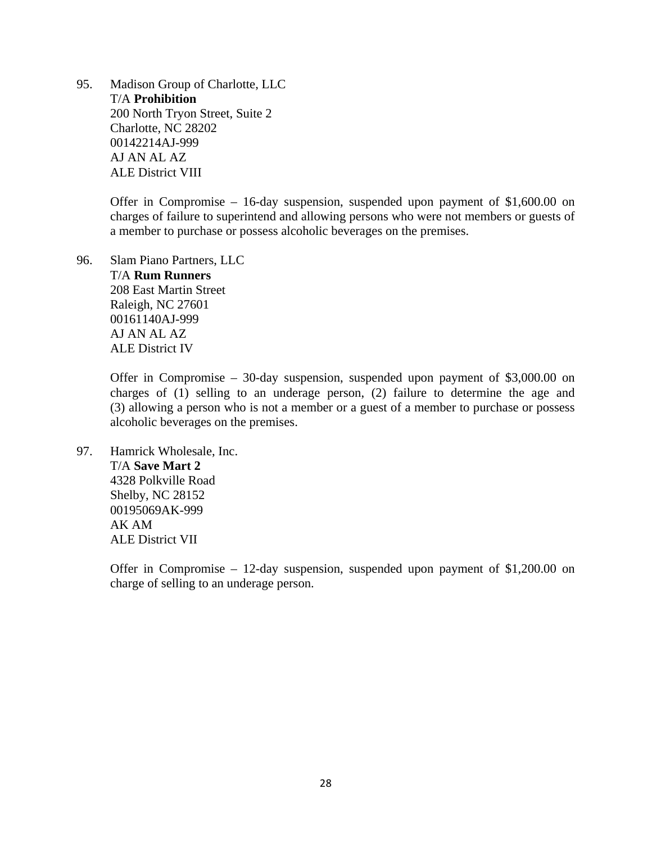95. Madison Group of Charlotte, LLC T/A **Prohibition**  200 North Tryon Street, Suite 2 Charlotte, NC 28202 00142214AJ-999 AJ AN AL AZ ALE District VIII

> Offer in Compromise – 16-day suspension, suspended upon payment of \$1,600.00 on charges of failure to superintend and allowing persons who were not members or guests of a member to purchase or possess alcoholic beverages on the premises.

96. Slam Piano Partners, LLC T/A **Rum Runners**  208 East Martin Street Raleigh, NC 27601 00161140AJ-999 AJ AN AL AZ ALE District IV

> Offer in Compromise – 30-day suspension, suspended upon payment of \$3,000.00 on charges of (1) selling to an underage person, (2) failure to determine the age and (3) allowing a person who is not a member or a guest of a member to purchase or possess alcoholic beverages on the premises.

97. Hamrick Wholesale, Inc. T/A **Save Mart 2**  4328 Polkville Road Shelby, NC 28152 00195069AK-999 AK AM ALE District VII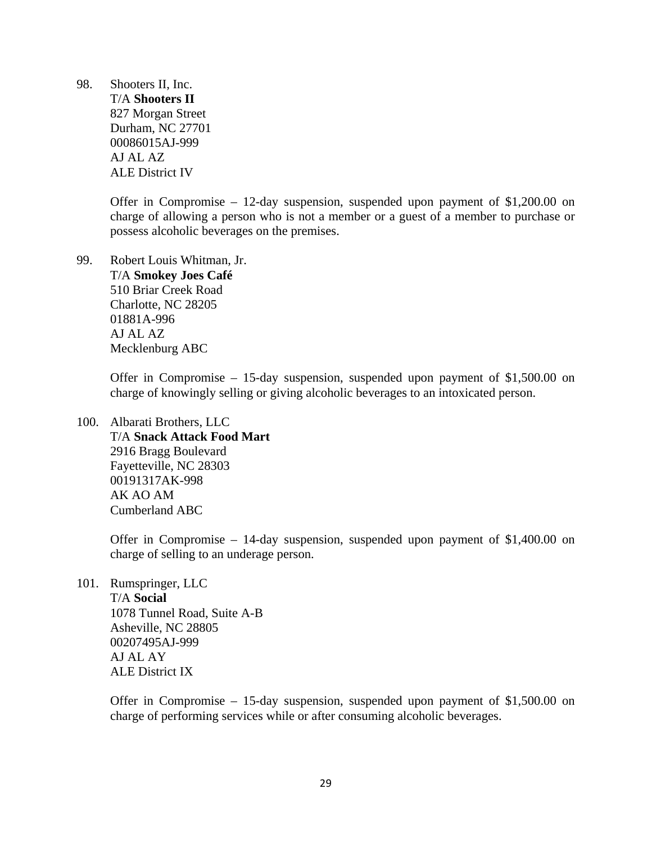98. Shooters II, Inc. T/A **Shooters II**  827 Morgan Street Durham, NC 27701 00086015AJ-999 AJ AL AZ ALE District IV

> Offer in Compromise – 12-day suspension, suspended upon payment of \$1,200.00 on charge of allowing a person who is not a member or a guest of a member to purchase or possess alcoholic beverages on the premises.

99. Robert Louis Whitman, Jr. T/A **Smokey Joes Café**  510 Briar Creek Road Charlotte, NC 28205 01881A-996 AJ AL AZ Mecklenburg ABC

> Offer in Compromise – 15-day suspension, suspended upon payment of \$1,500.00 on charge of knowingly selling or giving alcoholic beverages to an intoxicated person.

100. Albarati Brothers, LLC T/A **Snack Attack Food Mart**  2916 Bragg Boulevard Fayetteville, NC 28303 00191317AK-998 AK AO AM Cumberland ABC

> Offer in Compromise – 14-day suspension, suspended upon payment of \$1,400.00 on charge of selling to an underage person.

101. Rumspringer, LLC

 T/A **Social**  1078 Tunnel Road, Suite A-B Asheville, NC 28805 00207495AJ-999 AJ AL AY ALE District IX

Offer in Compromise – 15-day suspension, suspended upon payment of \$1,500.00 on charge of performing services while or after consuming alcoholic beverages.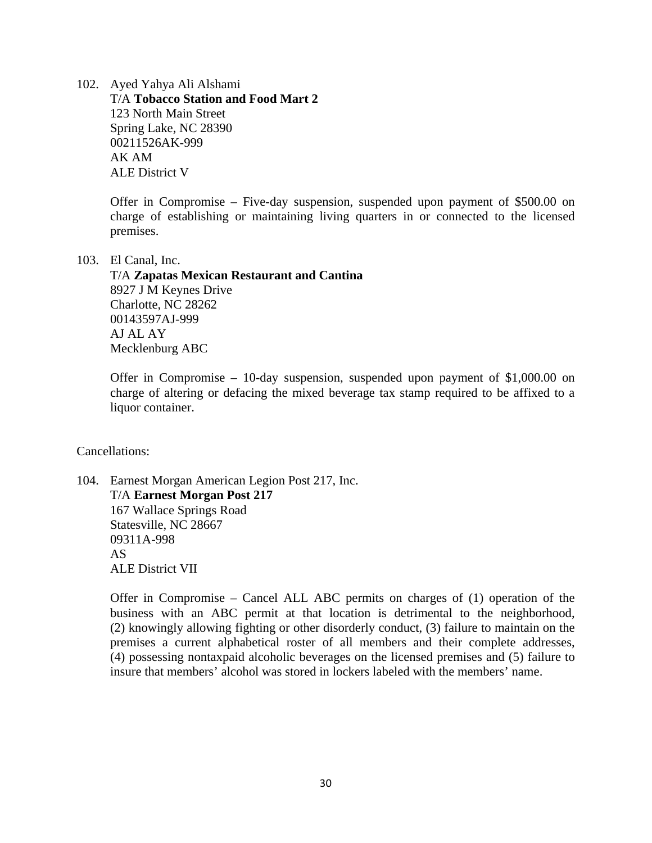102. Ayed Yahya Ali Alshami T/A **Tobacco Station and Food Mart 2**  123 North Main Street Spring Lake, NC 28390 00211526AK-999 AK AM ALE District V

> Offer in Compromise – Five-day suspension, suspended upon payment of \$500.00 on charge of establishing or maintaining living quarters in or connected to the licensed premises.

103. El Canal, Inc.

 T/A **Zapatas Mexican Restaurant and Cantina**  8927 J M Keynes Drive Charlotte, NC 28262 00143597AJ-999 AJ AL AY Mecklenburg ABC

Offer in Compromise – 10-day suspension, suspended upon payment of \$1,000.00 on charge of altering or defacing the mixed beverage tax stamp required to be affixed to a liquor container.

Cancellations:

104. Earnest Morgan American Legion Post 217, Inc. T/A **Earnest Morgan Post 217**  167 Wallace Springs Road Statesville, NC 28667 09311A-998 AS ALE District VII

> Offer in Compromise – Cancel ALL ABC permits on charges of (1) operation of the business with an ABC permit at that location is detrimental to the neighborhood, (2) knowingly allowing fighting or other disorderly conduct, (3) failure to maintain on the premises a current alphabetical roster of all members and their complete addresses, (4) possessing nontaxpaid alcoholic beverages on the licensed premises and (5) failure to insure that members' alcohol was stored in lockers labeled with the members' name.